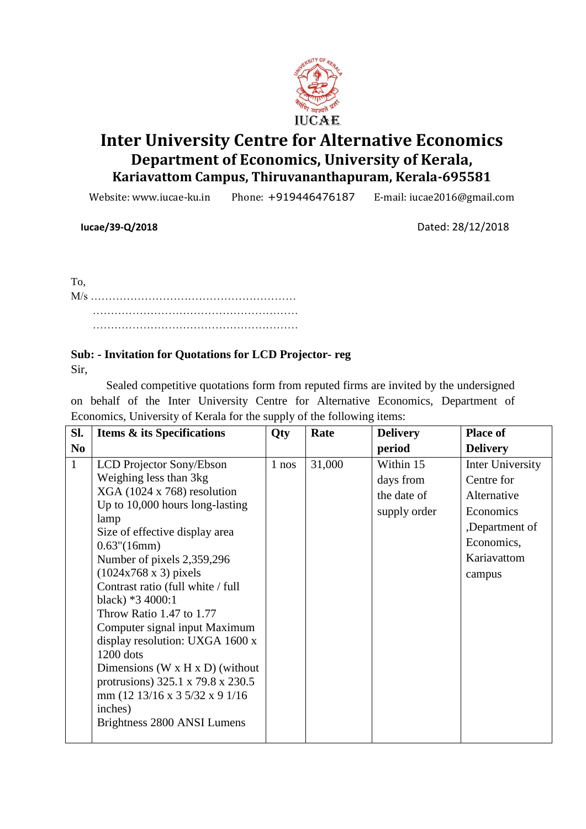

# **Inter University Centre for Alternative Economics Department of Economics, University of Kerala, Kariavattom Campus, Thiruvananthapuram, Kerala-695581**

Website: www.iucae-ku.in Phone: +919446476187 E-mail: iucae2016@gmail.com

 **Iucae/39-Q/2018** Dated: 28/12/2018

To, M/s ………………………………………………… ………………………………………………… …………………………………………………

### **Sub: - Invitation for Quotations for LCD Projector- reg** Sir,

Sealed competitive quotations form from reputed firms are invited by the undersigned on behalf of the Inter University Centre for Alternative Economics, Department of Economics, University of Kerala for the supply of the following items:

| Sl.            | <b>Items &amp; its Specifications</b>                                                                                                                                                                                                                                                                                                                                                                                                                                                                                                                                                                           | Qty   | Rate   | <b>Delivery</b>                                       | <b>Place of</b>                                                                                                     |
|----------------|-----------------------------------------------------------------------------------------------------------------------------------------------------------------------------------------------------------------------------------------------------------------------------------------------------------------------------------------------------------------------------------------------------------------------------------------------------------------------------------------------------------------------------------------------------------------------------------------------------------------|-------|--------|-------------------------------------------------------|---------------------------------------------------------------------------------------------------------------------|
| N <sub>0</sub> |                                                                                                                                                                                                                                                                                                                                                                                                                                                                                                                                                                                                                 |       |        | period                                                | <b>Delivery</b>                                                                                                     |
| $\mathbf{1}$   | <b>LCD</b> Projector Sony/Ebson<br>Weighing less than 3kg<br>$XGA$ (1024 x 768) resolution<br>Up to $10,000$ hours long-lasting<br>lamp<br>Size of effective display area<br>$0.63$ " $(16mm)$<br>Number of pixels 2,359,296<br>$(1024x768 x 3)$ pixels<br>Contrast ratio (full white / full<br>black) $*34000:1$<br>Throw Ratio 1.47 to 1.77<br>Computer signal input Maximum<br>display resolution: UXGA 1600 x<br>1200 dots<br>Dimensions (W $\times$ H $\times$ D) (without<br>protrusions) 325.1 x 79.8 x 230.5<br>mm $(12\ 13/16 \times 3\ 5/32 \times 9\ 1/16$<br>inches)<br>Brightness 2800 ANSI Lumens | 1 nos | 31,000 | Within 15<br>days from<br>the date of<br>supply order | Inter University<br>Centre for<br>Alternative<br>Economics<br>,Department of<br>Economics,<br>Kariavattom<br>campus |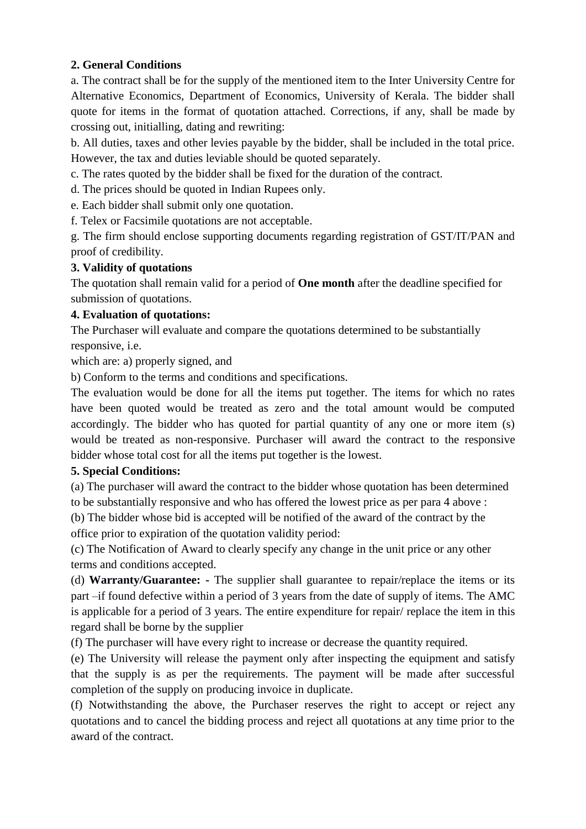## **2. General Conditions**

a. The contract shall be for the supply of the mentioned item to the Inter University Centre for Alternative Economics, Department of Economics, University of Kerala. The bidder shall quote for items in the format of quotation attached. Corrections, if any, shall be made by crossing out, initialling, dating and rewriting:

b. All duties, taxes and other levies payable by the bidder, shall be included in the total price. However, the tax and duties leviable should be quoted separately.

c. The rates quoted by the bidder shall be fixed for the duration of the contract.

d. The prices should be quoted in Indian Rupees only.

e. Each bidder shall submit only one quotation.

f. Telex or Facsimile quotations are not acceptable.

g. The firm should enclose supporting documents regarding registration of GST/IT/PAN and proof of credibility.

## **3. Validity of quotations**

The quotation shall remain valid for a period of **One month** after the deadline specified for submission of quotations.

#### **4. Evaluation of quotations:**

The Purchaser will evaluate and compare the quotations determined to be substantially responsive, i.e.

which are: a) properly signed, and

b) Conform to the terms and conditions and specifications.

The evaluation would be done for all the items put together. The items for which no rates have been quoted would be treated as zero and the total amount would be computed accordingly. The bidder who has quoted for partial quantity of any one or more item (s) would be treated as non-responsive. Purchaser will award the contract to the responsive bidder whose total cost for all the items put together is the lowest.

#### **5. Special Conditions:**

(a) The purchaser will award the contract to the bidder whose quotation has been determined to be substantially responsive and who has offered the lowest price as per para 4 above :

(b) The bidder whose bid is accepted will be notified of the award of the contract by the office prior to expiration of the quotation validity period:

(c) The Notification of Award to clearly specify any change in the unit price or any other terms and conditions accepted.

(d) **Warranty/Guarantee: -** The supplier shall guarantee to repair/replace the items or its part –if found defective within a period of 3 years from the date of supply of items. The AMC is applicable for a period of 3 years. The entire expenditure for repair/ replace the item in this regard shall be borne by the supplier

(f) The purchaser will have every right to increase or decrease the quantity required.

(e) The University will release the payment only after inspecting the equipment and satisfy that the supply is as per the requirements. The payment will be made after successful completion of the supply on producing invoice in duplicate.

(f) Notwithstanding the above, the Purchaser reserves the right to accept or reject any quotations and to cancel the bidding process and reject all quotations at any time prior to the award of the contract.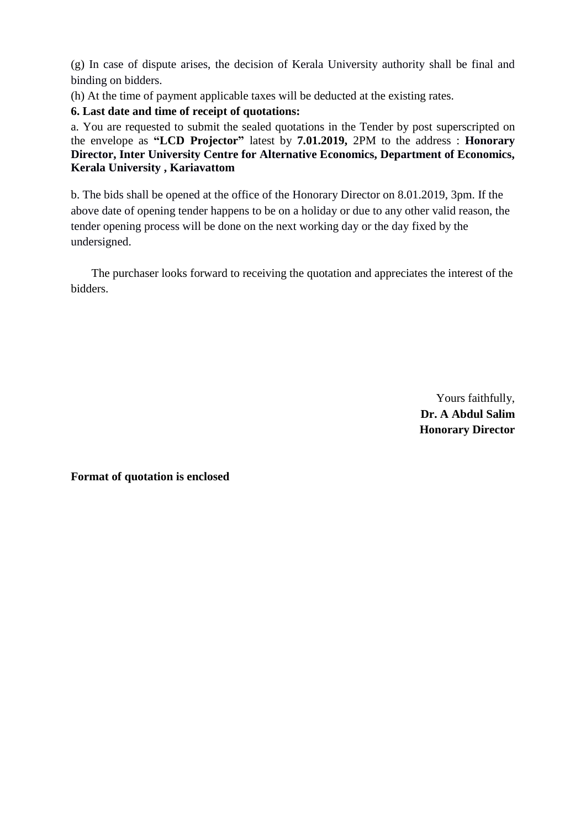(g) In case of dispute arises, the decision of Kerala University authority shall be final and binding on bidders.

(h) At the time of payment applicable taxes will be deducted at the existing rates.

### **6. Last date and time of receipt of quotations:**

a. You are requested to submit the sealed quotations in the Tender by post superscripted on the envelope as **"LCD Projector"** latest by **7.01.2019,** 2PM to the address : **Honorary Director, Inter University Centre for Alternative Economics, Department of Economics, Kerala University , Kariavattom**

b. The bids shall be opened at the office of the Honorary Director on 8.01.2019, 3pm. If the above date of opening tender happens to be on a holiday or due to any other valid reason, the tender opening process will be done on the next working day or the day fixed by the undersigned.

 The purchaser looks forward to receiving the quotation and appreciates the interest of the bidders.

> Yours faithfully, **Dr. A Abdul Salim Honorary Director**

**Format of quotation is enclosed**